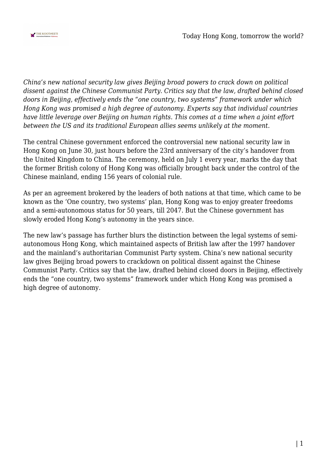

*China's new national security law gives Beijing broad powers to crack down on political dissent against the Chinese Communist Party. Critics say that the law, drafted behind closed doors in Beijing, effectively ends the "one country, two systems" framework under which Hong Kong was promised a high degree of autonomy. Experts say that individual countries have little leverage over Beijing on human rights. This comes at a time when a joint effort between the US and its traditional European allies seems unlikely at the moment.*

The central Chinese government enforced the controversial new national security law in Hong Kong on June 30, just hours before the 23rd anniversary of the city's handover from the United Kingdom to China. The ceremony, held on July 1 every year, marks the day that the former British colony of Hong Kong was officially brought back under the control of the Chinese mainland, ending 156 years of colonial rule.

As per an agreement brokered by the leaders of both nations at that time, which came to be known as the 'One country, two systems' plan, Hong Kong was to enjoy greater freedoms and a semi-autonomous status for 50 years, till 2047. But the Chinese government has slowly eroded Hong Kong's autonomy in the years since.

The new law's passage has further blurs the distinction between the legal systems of semiautonomous Hong Kong, which maintained aspects of British law after the 1997 handover and the mainland's authoritarian Communist Party system. China's new national security law gives Beijing broad powers to crackdown on political dissent against the Chinese Communist Party. Critics say that the law, drafted behind closed doors in Beijing, effectively ends the "one country, two systems" framework under which Hong Kong was promised a high degree of autonomy.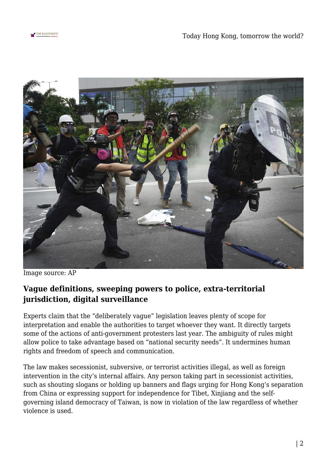



Image source: AP

## **Vague definitions, sweeping powers to police, extra-territorial jurisdiction, digital surveillance**

Experts claim that the "deliberately vague" legislation leaves plenty of scope for interpretation and enable the authorities to target whoever they want. It directly targets some of the actions of anti-government protesters last year. The ambiguity of rules might allow police to take advantage based on "national security needs". It undermines human rights and freedom of speech and communication.

The law makes secessionist, subversive, or terrorist activities illegal, as well as foreign intervention in the city's internal affairs. Any person taking part in secessionist activities, such as shouting slogans or holding up banners and flags urging for Hong Kong's separation from China or expressing support for independence for Tibet, Xinjiang and the selfgoverning island democracy of Taiwan, is now in violation of the law regardless of whether violence is used.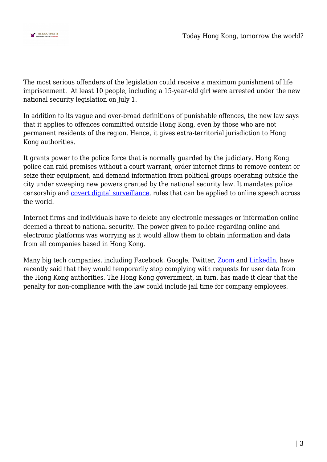

The most serious offenders of the legislation could receive a maximum punishment of life imprisonment. At least 10 people, including a 15-year-old girl were arrested under the new national security legislation on July 1.

In addition to its vague and over-broad definitions of punishable offences, the new law says that it applies to offences committed outside Hong Kong, even by those who are not permanent residents of the region. Hence, it gives extra-territorial jurisdiction to Hong Kong authorities.

It grants power to the police force that is normally guarded by the judiciary. Hong Kong police can raid premises without a court warrant, order internet firms to remove content or seize their equipment, and demand information from political groups operating outside the city under sweeping new powers granted by the national security law. It mandates police censorship and [covert digital surveillance,](https://www.nytimes.com/2020/07/02/world/asia/hong-kong-security-china.html) rules that can be applied to online speech across the world.

Internet firms and individuals have to delete any electronic messages or information online deemed a threat to national security. The power given to police regarding online and electronic platforms was worrying as it would allow them to obtain information and data from all companies based in Hong Kong.

Many big tech companies, including Facebook, Google, Twitter, **Zoom** and [LinkedIn,](https://qz.com/1877636/chinas-great-firewall-arrives-in-hong-kongs-internet/) have recently said that they would temporarily stop complying with requests for user data from the Hong Kong authorities. The Hong Kong government, in turn, has made it clear that the penalty for non-compliance with the law could include jail time for company employees.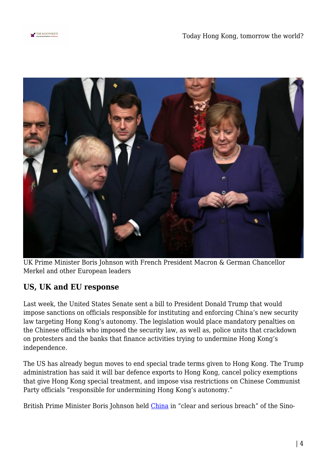



UK Prime Minister Boris Johnson with French President Macron & German Chancellor Merkel and other European leaders

## **US, UK and EU response**

Last week, the United States Senate sent a bill to President Donald Trump that would impose sanctions on officials responsible for instituting and enforcing China's new security law targeting Hong Kong's autonomy. The legislation would place mandatory penalties on the Chinese officials who imposed the security law, as well as, police units that crackdown on protesters and the banks that finance activities trying to undermine Hong Kong's independence.

The US has already begun moves to end special trade terms given to Hong Kong. The Trump administration has said it will bar defence exports to Hong Kong, cancel policy exemptions that give Hong Kong special treatment, and impose visa restrictions on Chinese Communist Party officials "responsible for undermining Hong Kong's autonomy."

British Prime Minister Boris Johnson held [China](https://indianexpress.com/article/world/china-coronavirus-tracker-region-wise-cases-and-deaths/) in "clear and serious breach" of the Sino-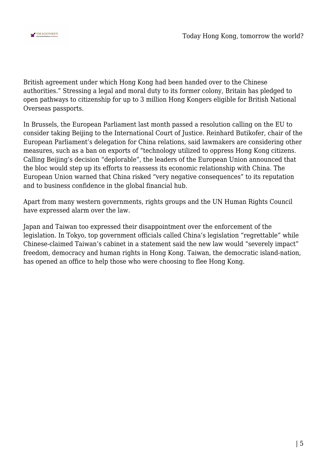

British agreement under which Hong Kong had been handed over to the Chinese authorities." Stressing a legal and moral duty to its former colony, Britain has pledged to open pathways to citizenship for up to 3 million Hong Kongers eligible for British National Overseas passports.

In Brussels, the European Parliament last month passed a resolution calling on the EU to consider taking Beijing to the International Court of Justice. Reinhard Butikofer, chair of the European Parliament's delegation for China relations, said lawmakers are considering other measures, such as a ban on exports of "technology utilized to oppress Hong Kong citizens. Calling Beijing's decision "deplorable", the leaders of the European Union announced that the bloc would step up its efforts to reassess its economic relationship with China. The European Union warned that China risked "very negative consequences" to its reputation and to business confidence in the global financial hub.

Apart from many western governments, rights groups and the UN Human Rights Council have expressed alarm over the law.

Japan and Taiwan too expressed their disappointment over the enforcement of the legislation. In Tokyo, top government officials called China's legislation "regrettable" while Chinese-claimed Taiwan's cabinet in a statement said the new law would "severely impact" freedom, democracy and human rights in Hong Kong. Taiwan, the democratic island-nation, has opened an office to help those who were choosing to flee Hong Kong.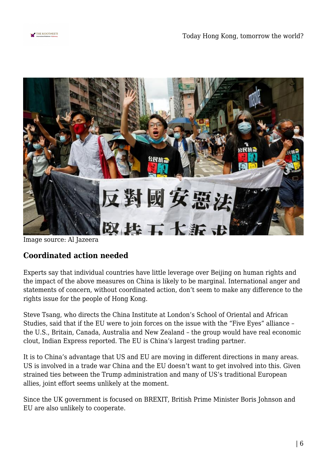



Image source: Al Jazeera

## **Coordinated action needed**

Experts say that individual countries have little leverage over Beijing on human rights and the impact of the above measures on China is likely to be marginal. International anger and statements of concern, without coordinated action, don't seem to make any difference to the rights issue for the people of Hong Kong.

Steve Tsang, who directs the China Institute at London's School of Oriental and African Studies, said that if the EU were to join forces on the issue with the "Five Eyes" alliance – the U.S., Britain, Canada, Australia and New Zealand – the group would have real economic clout, Indian Express reported. The EU is China's largest trading partner.

It is to China's advantage that US and EU are moving in different directions in many areas. US is involved in a trade war China and the EU doesn't want to get involved into this. Given strained ties between the Trump administration and many of US's traditional European allies, joint effort seems unlikely at the moment.

Since the UK government is focused on BREXIT, British Prime Minister Boris Johnson and EU are also unlikely to cooperate.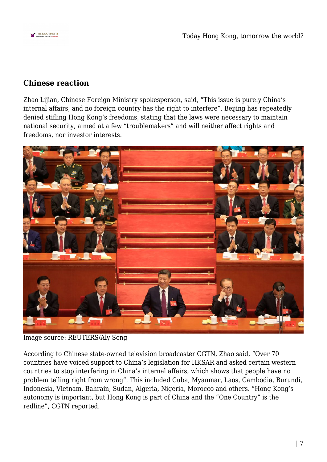

## **Chinese reaction**

Zhao Lijian, Chinese Foreign Ministry spokesperson, said, "This issue is purely China's internal affairs, and no foreign country has the right to interfere". Beijing has repeatedly denied stifling Hong Kong's freedoms, stating that the laws were necessary to maintain national security, aimed at a few "troublemakers" and will neither affect rights and freedoms, nor investor interests.



Image source: REUTERS/Aly Song

According to Chinese state-owned television broadcaster CGTN, Zhao said, "Over 70 countries have voiced support to China's legislation for HKSAR and asked certain western countries to stop interfering in China's internal affairs, which shows that people have no problem telling right from wrong". This included Cuba, Myanmar, Laos, Cambodia, Burundi, Indonesia, Vietnam, Bahrain, Sudan, Algeria, Nigeria, Morocco and others. "Hong Kong's autonomy is important, but Hong Kong is part of China and the "One Country" is the redline", CGTN reported.